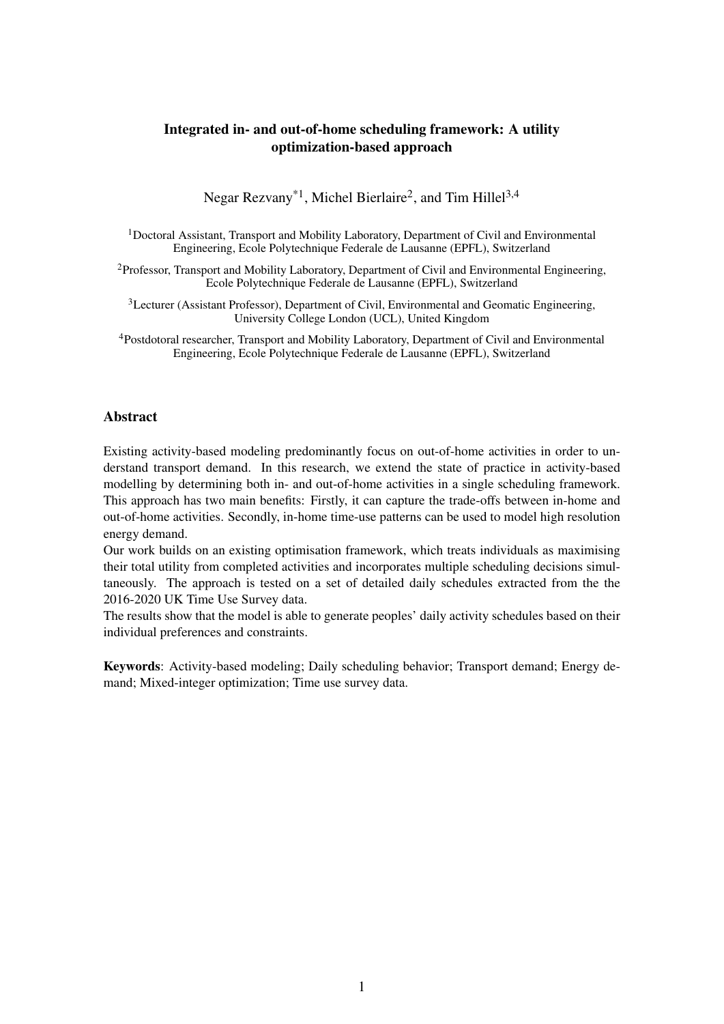# Integrated in- and out-of-home scheduling framework: A utility optimization-based approach

Negar Rezvany<sup>\*1</sup>, Michel Bierlaire<sup>2</sup>, and Tim Hillel<sup>3,4</sup>

<sup>1</sup>Doctoral Assistant, Transport and Mobility Laboratory, Department of Civil and Environmental Engineering, Ecole Polytechnique Federale de Lausanne (EPFL), Switzerland

<sup>2</sup>Professor, Transport and Mobility Laboratory, Department of Civil and Environmental Engineering, Ecole Polytechnique Federale de Lausanne (EPFL), Switzerland

<sup>3</sup>Lecturer (Assistant Professor), Department of Civil, Environmental and Geomatic Engineering, University College London (UCL), United Kingdom

<sup>4</sup>Postdotoral researcher, Transport and Mobility Laboratory, Department of Civil and Environmental Engineering, Ecole Polytechnique Federale de Lausanne (EPFL), Switzerland

#### Abstract

Existing activity-based modeling predominantly focus on out-of-home activities in order to understand transport demand. In this research, we extend the state of practice in activity-based modelling by determining both in- and out-of-home activities in a single scheduling framework. This approach has two main benefits: Firstly, it can capture the trade-offs between in-home and out-of-home activities. Secondly, in-home time-use patterns can be used to model high resolution energy demand.

Our work builds on an existing optimisation framework, which treats individuals as maximising their total utility from completed activities and incorporates multiple scheduling decisions simultaneously. The approach is tested on a set of detailed daily schedules extracted from the the 2016-2020 UK Time Use Survey data.

The results show that the model is able to generate peoples' daily activity schedules based on their individual preferences and constraints.

Keywords: Activity-based modeling; Daily scheduling behavior; Transport demand; Energy demand; Mixed-integer optimization; Time use survey data.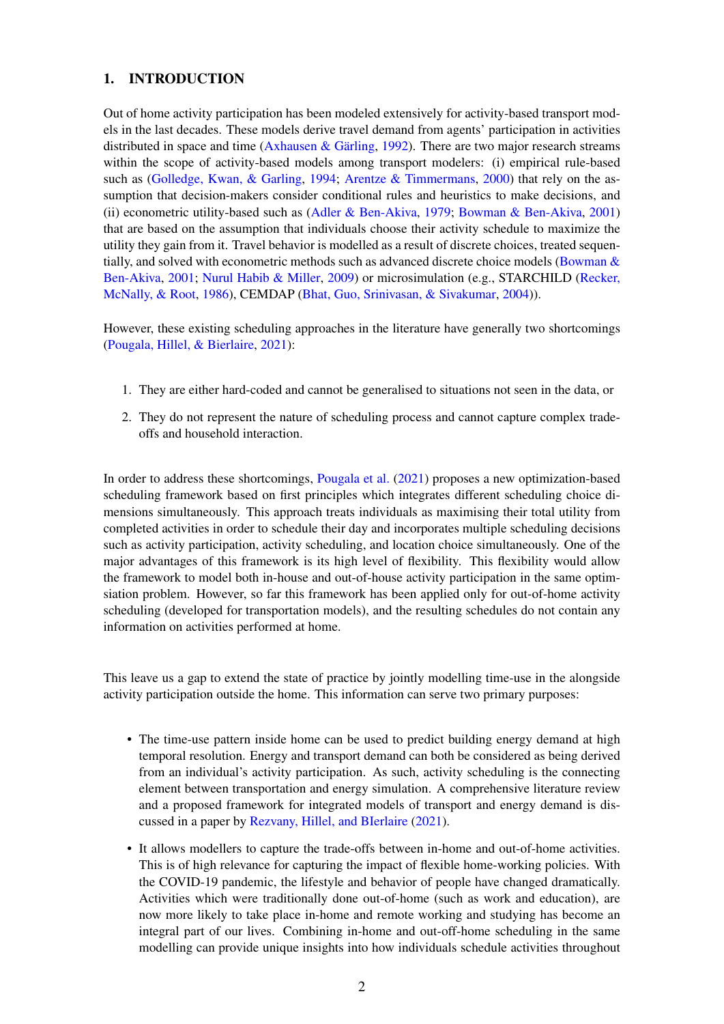# 1. INTRODUCTION

Out of home activity participation has been modeled extensively for activity-based transport models in the last decades. These models derive travel demand from agents' participation in activities distributed in space and time [\(Axhausen & Gärling,](#page-8-0) [1992\)](#page-8-0). There are two major research streams within the scope of activity-based models among transport modelers: (i) empirical rule-based such as [\(Golledge, Kwan, & Garling,](#page-8-1) [1994;](#page-8-1) [Arentze & Timmermans,](#page-8-2) [2000\)](#page-8-2) that rely on the assumption that decision-makers consider conditional rules and heuristics to make decisions, and (ii) econometric utility-based such as [\(Adler & Ben-Akiva,](#page-8-3) [1979;](#page-8-3) [Bowman & Ben-Akiva,](#page-8-4) [2001\)](#page-8-4) that are based on the assumption that individuals choose their activity schedule to maximize the utility they gain from it. Travel behavior is modelled as a result of discrete choices, treated sequentially, and solved with econometric methods such as advanced discrete choice models [\(Bowman &](#page-8-4) [Ben-Akiva,](#page-8-4) [2001;](#page-8-4) [Nurul Habib & Miller,](#page-8-5) [2009\)](#page-8-5) or microsimulation (e.g., STARCHILD [\(Recker,](#page-8-6) [McNally, & Root,](#page-8-6) [1986\)](#page-8-6), CEMDAP [\(Bhat, Guo, Srinivasan, & Sivakumar,](#page-8-7) [2004\)](#page-8-7)).

However, these existing scheduling approaches in the literature have generally two shortcomings [\(Pougala, Hillel, & Bierlaire,](#page-8-8) [2021\)](#page-8-8):

- 1. They are either hard-coded and cannot be generalised to situations not seen in the data, or
- 2. They do not represent the nature of scheduling process and cannot capture complex tradeoffs and household interaction.

In order to address these shortcomings, [Pougala et al.](#page-8-8) [\(2021\)](#page-8-8) proposes a new optimization-based scheduling framework based on first principles which integrates different scheduling choice dimensions simultaneously. This approach treats individuals as maximising their total utility from completed activities in order to schedule their day and incorporates multiple scheduling decisions such as activity participation, activity scheduling, and location choice simultaneously. One of the major advantages of this framework is its high level of flexibility. This flexibility would allow the framework to model both in-house and out-of-house activity participation in the same optimsiation problem. However, so far this framework has been applied only for out-of-home activity scheduling (developed for transportation models), and the resulting schedules do not contain any information on activities performed at home.

This leave us a gap to extend the state of practice by jointly modelling time-use in the alongside activity participation outside the home. This information can serve two primary purposes:

- The time-use pattern inside home can be used to predict building energy demand at high temporal resolution. Energy and transport demand can both be considered as being derived from an individual's activity participation. As such, activity scheduling is the connecting element between transportation and energy simulation. A comprehensive literature review and a proposed framework for integrated models of transport and energy demand is discussed in a paper by [Rezvany, Hillel, and BIerlaire](#page-8-9) [\(2021\)](#page-8-9).
- It allows modellers to capture the trade-offs between in-home and out-of-home activities. This is of high relevance for capturing the impact of flexible home-working policies. With the COVID-19 pandemic, the lifestyle and behavior of people have changed dramatically. Activities which were traditionally done out-of-home (such as work and education), are now more likely to take place in-home and remote working and studying has become an integral part of our lives. Combining in-home and out-off-home scheduling in the same modelling can provide unique insights into how individuals schedule activities throughout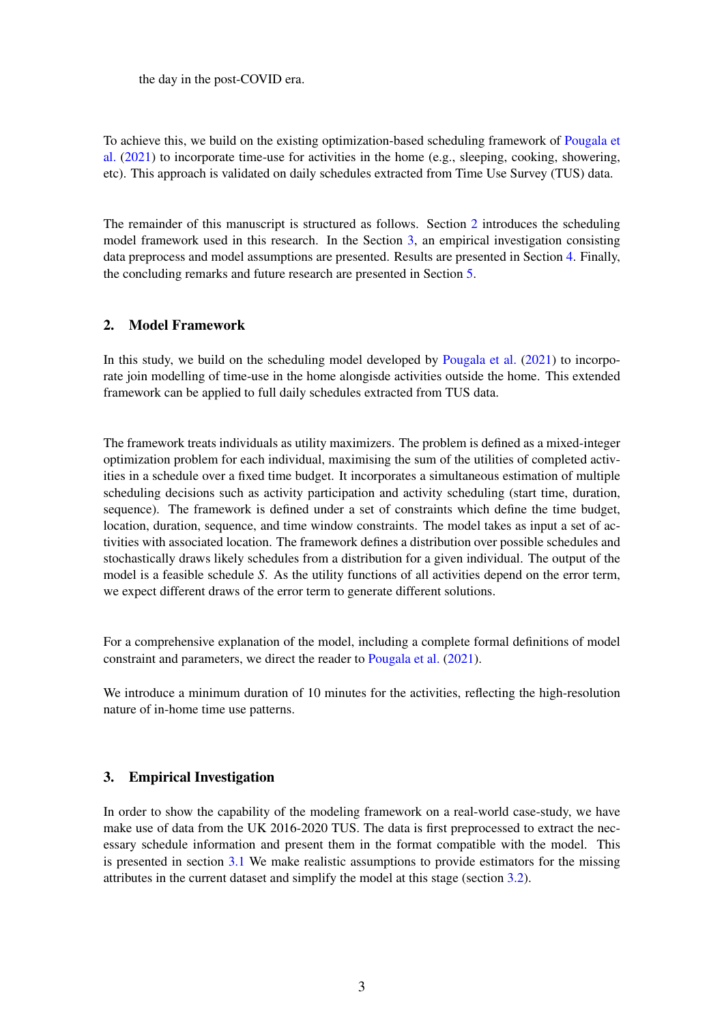the day in the post-COVID era.

To achieve this, we build on the existing optimization-based scheduling framework of [Pougala et](#page-8-8) [al.](#page-8-8) [\(2021\)](#page-8-8) to incorporate time-use for activities in the home (e.g., sleeping, cooking, showering, etc). This approach is validated on daily schedules extracted from Time Use Survey (TUS) data.

The remainder of this manuscript is structured as follows. Section [2](#page-2-0) introduces the scheduling model framework used in this research. In the Section [3,](#page-2-1) an empirical investigation consisting data preprocess and model assumptions are presented. Results are presented in Section [4.](#page-4-0) Finally, the concluding remarks and future research are presented in Section [5.](#page-7-0)

### <span id="page-2-0"></span>2. Model Framework

In this study, we build on the scheduling model developed by [Pougala et al.](#page-8-8) [\(2021\)](#page-8-8) to incorporate join modelling of time-use in the home alongisde activities outside the home. This extended framework can be applied to full daily schedules extracted from TUS data.

The framework treats individuals as utility maximizers. The problem is defined as a mixed-integer optimization problem for each individual, maximising the sum of the utilities of completed activities in a schedule over a fixed time budget. It incorporates a simultaneous estimation of multiple scheduling decisions such as activity participation and activity scheduling (start time, duration, sequence). The framework is defined under a set of constraints which define the time budget, location, duration, sequence, and time window constraints. The model takes as input a set of activities with associated location. The framework defines a distribution over possible schedules and stochastically draws likely schedules from a distribution for a given individual. The output of the model is a feasible schedule *S*. As the utility functions of all activities depend on the error term, we expect different draws of the error term to generate different solutions.

For a comprehensive explanation of the model, including a complete formal definitions of model constraint and parameters, we direct the reader to [Pougala et al.](#page-8-8) [\(2021\)](#page-8-8).

We introduce a minimum duration of 10 minutes for the activities, reflecting the high-resolution nature of in-home time use patterns.

## <span id="page-2-1"></span>3. Empirical Investigation

<span id="page-2-2"></span>In order to show the capability of the modeling framework on a real-world case-study, we have make use of data from the UK 2016-2020 TUS. The data is first preprocessed to extract the necessary schedule information and present them in the format compatible with the model. This is presented in section [3.1](#page-2-2) We make realistic assumptions to provide estimators for the missing attributes in the current dataset and simplify the model at this stage (section [3.2\)](#page-3-0).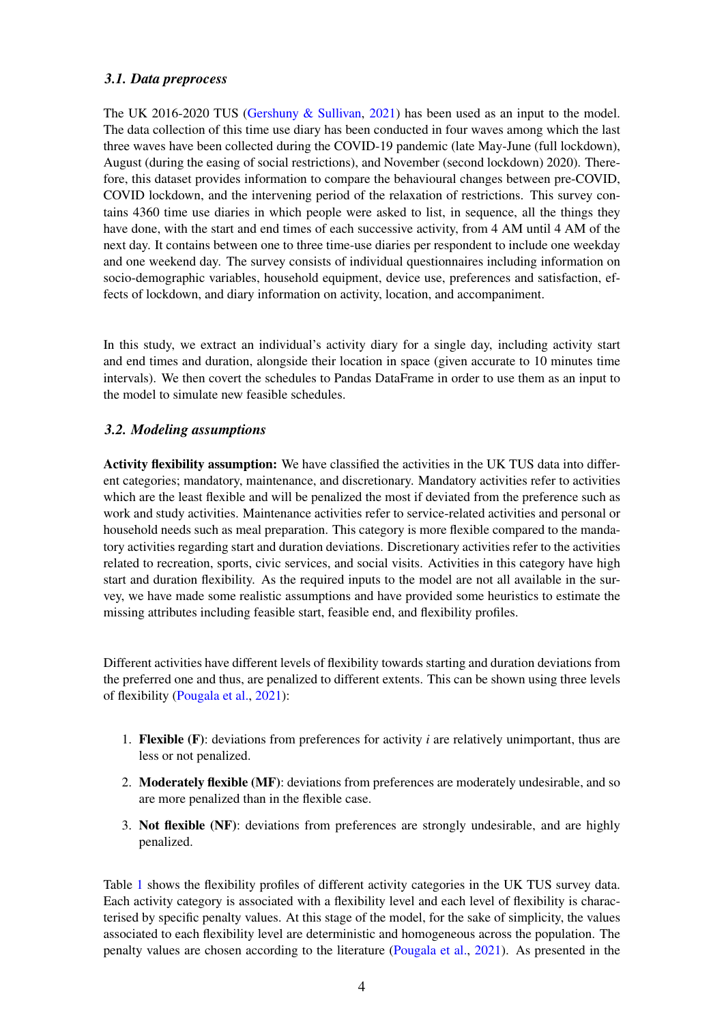## *3.1. Data preprocess*

The UK 2016-2020 TUS [\(Gershuny & Sullivan,](#page-8-10) [2021\)](#page-8-10) has been used as an input to the model. The data collection of this time use diary has been conducted in four waves among which the last three waves have been collected during the COVID-19 pandemic (late May-June (full lockdown), August (during the easing of social restrictions), and November (second lockdown) 2020). Therefore, this dataset provides information to compare the behavioural changes between pre-COVID, COVID lockdown, and the intervening period of the relaxation of restrictions. This survey contains 4360 time use diaries in which people were asked to list, in sequence, all the things they have done, with the start and end times of each successive activity, from 4 AM until 4 AM of the next day. It contains between one to three time-use diaries per respondent to include one weekday and one weekend day. The survey consists of individual questionnaires including information on socio-demographic variables, household equipment, device use, preferences and satisfaction, effects of lockdown, and diary information on activity, location, and accompaniment.

In this study, we extract an individual's activity diary for a single day, including activity start and end times and duration, alongside their location in space (given accurate to 10 minutes time intervals). We then covert the schedules to Pandas DataFrame in order to use them as an input to the model to simulate new feasible schedules.

## <span id="page-3-0"></span>*3.2. Modeling assumptions*

Activity flexibility assumption: We have classified the activities in the UK TUS data into different categories; mandatory, maintenance, and discretionary. Mandatory activities refer to activities which are the least flexible and will be penalized the most if deviated from the preference such as work and study activities. Maintenance activities refer to service-related activities and personal or household needs such as meal preparation. This category is more flexible compared to the mandatory activities regarding start and duration deviations. Discretionary activities refer to the activities related to recreation, sports, civic services, and social visits. Activities in this category have high start and duration flexibility. As the required inputs to the model are not all available in the survey, we have made some realistic assumptions and have provided some heuristics to estimate the missing attributes including feasible start, feasible end, and flexibility profiles.

Different activities have different levels of flexibility towards starting and duration deviations from the preferred one and thus, are penalized to different extents. This can be shown using three levels of flexibility [\(Pougala et al.,](#page-8-8) [2021\)](#page-8-8):

- 1. Flexible (F): deviations from preferences for activity *i* are relatively unimportant, thus are less or not penalized.
- 2. Moderately flexible (MF): deviations from preferences are moderately undesirable, and so are more penalized than in the flexible case.
- 3. Not flexible (NF): deviations from preferences are strongly undesirable, and are highly penalized.

Table [1](#page-4-1) shows the flexibility profiles of different activity categories in the UK TUS survey data. Each activity category is associated with a flexibility level and each level of flexibility is characterised by specific penalty values. At this stage of the model, for the sake of simplicity, the values associated to each flexibility level are deterministic and homogeneous across the population. The penalty values are chosen according to the literature [\(Pougala et al.,](#page-8-8) [2021\)](#page-8-8). As presented in the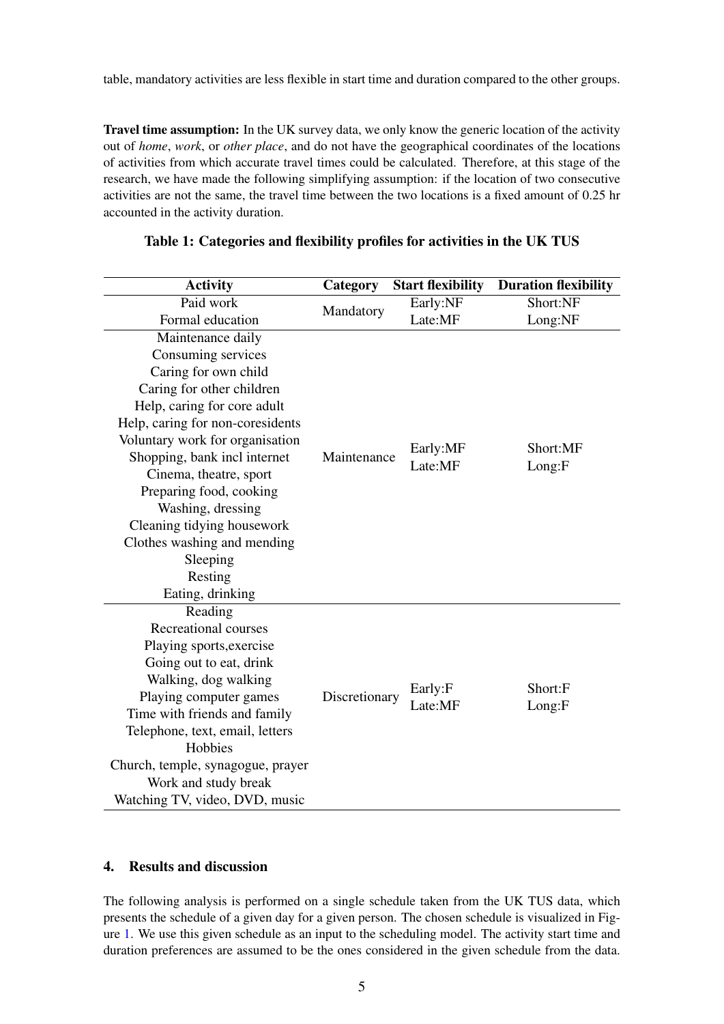table, mandatory activities are less flexible in start time and duration compared to the other groups.

Travel time assumption: In the UK survey data, we only know the generic location of the activity out of *home*, *work*, or *other place*, and do not have the geographical coordinates of the locations of activities from which accurate travel times could be calculated. Therefore, at this stage of the research, we have made the following simplifying assumption: if the location of two consecutive activities are not the same, the travel time between the two locations is a fixed amount of 0.25 hr accounted in the activity duration.

| <b>Activity</b>                   | Category      | <b>Start flexibility</b> | <b>Duration flexibility</b> |
|-----------------------------------|---------------|--------------------------|-----------------------------|
| Paid work                         | Mandatory     | Early:NF                 | Short:NF                    |
| Formal education                  |               | Late:MF                  | Long:NF                     |
| Maintenance daily                 |               |                          |                             |
| Consuming services                |               |                          |                             |
| Caring for own child              |               |                          |                             |
| Caring for other children         |               |                          |                             |
| Help, caring for core adult       |               |                          |                             |
| Help, caring for non-coresidents  |               |                          |                             |
| Voluntary work for organisation   |               | Early:MF<br>Late:MF      | Short:MF<br>Long: F         |
| Shopping, bank incl internet      | Maintenance   |                          |                             |
| Cinema, theatre, sport            |               |                          |                             |
| Preparing food, cooking           |               |                          |                             |
| Washing, dressing                 |               |                          |                             |
| Cleaning tidying housework        |               |                          |                             |
| Clothes washing and mending       |               |                          |                             |
| Sleeping                          |               |                          |                             |
| Resting                           |               |                          |                             |
| Eating, drinking                  |               |                          |                             |
| Reading                           |               |                          |                             |
| <b>Recreational courses</b>       | Discretionary |                          | Short:F<br>Long: F          |
| Playing sports, exercise          |               |                          |                             |
| Going out to eat, drink           |               |                          |                             |
| Walking, dog walking              |               | Early:F                  |                             |
| Playing computer games            |               | Late:MF                  |                             |
| Time with friends and family      |               |                          |                             |
| Telephone, text, email, letters   |               |                          |                             |
| Hobbies                           |               |                          |                             |
| Church, temple, synagogue, prayer |               |                          |                             |
| Work and study break              |               |                          |                             |
| Watching TV, video, DVD, music    |               |                          |                             |

#### <span id="page-4-1"></span>Table 1: Categories and flexibility profiles for activities in the UK TUS

### <span id="page-4-0"></span>4. Results and discussion

The following analysis is performed on a single schedule taken from the UK TUS data, which presents the schedule of a given day for a given person. The chosen schedule is visualized in Figure [1.](#page-6-0) We use this given schedule as an input to the scheduling model. The activity start time and duration preferences are assumed to be the ones considered in the given schedule from the data.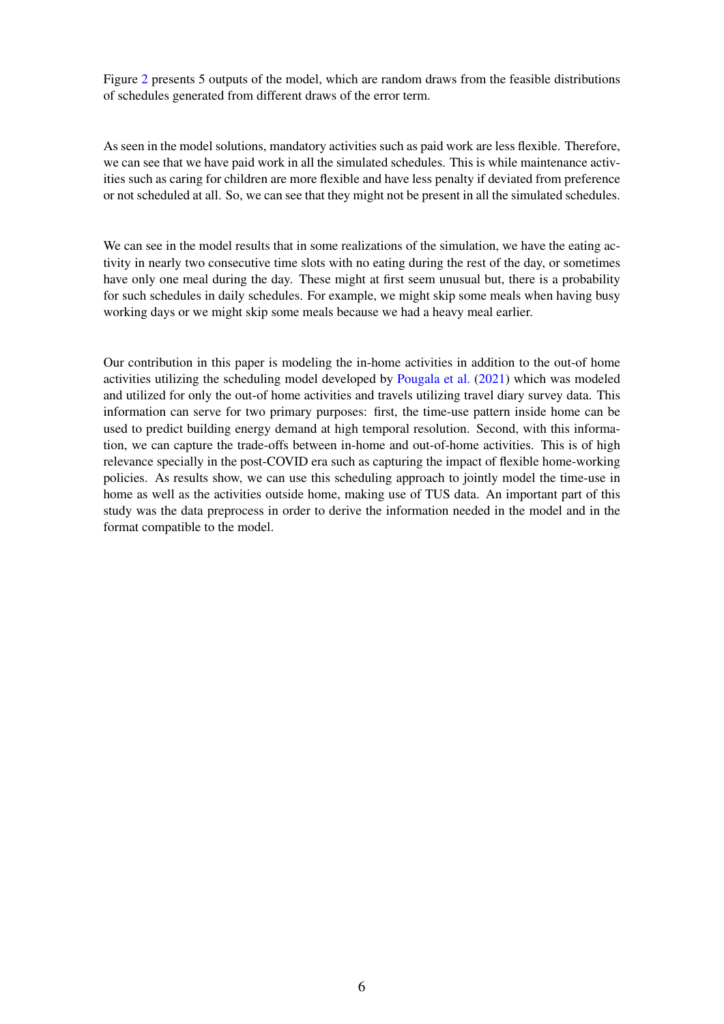Figure [2](#page-6-1) presents 5 outputs of the model, which are random draws from the feasible distributions of schedules generated from different draws of the error term.

As seen in the model solutions, mandatory activities such as paid work are less flexible. Therefore, we can see that we have paid work in all the simulated schedules. This is while maintenance activities such as caring for children are more flexible and have less penalty if deviated from preference or not scheduled at all. So, we can see that they might not be present in all the simulated schedules.

We can see in the model results that in some realizations of the simulation, we have the eating activity in nearly two consecutive time slots with no eating during the rest of the day, or sometimes have only one meal during the day. These might at first seem unusual but, there is a probability for such schedules in daily schedules. For example, we might skip some meals when having busy working days or we might skip some meals because we had a heavy meal earlier.

Our contribution in this paper is modeling the in-home activities in addition to the out-of home activities utilizing the scheduling model developed by [Pougala et al.](#page-8-8) [\(2021\)](#page-8-8) which was modeled and utilized for only the out-of home activities and travels utilizing travel diary survey data. This information can serve for two primary purposes: first, the time-use pattern inside home can be used to predict building energy demand at high temporal resolution. Second, with this information, we can capture the trade-offs between in-home and out-of-home activities. This is of high relevance specially in the post-COVID era such as capturing the impact of flexible home-working policies. As results show, we can use this scheduling approach to jointly model the time-use in home as well as the activities outside home, making use of TUS data. An important part of this study was the data preprocess in order to derive the information needed in the model and in the format compatible to the model.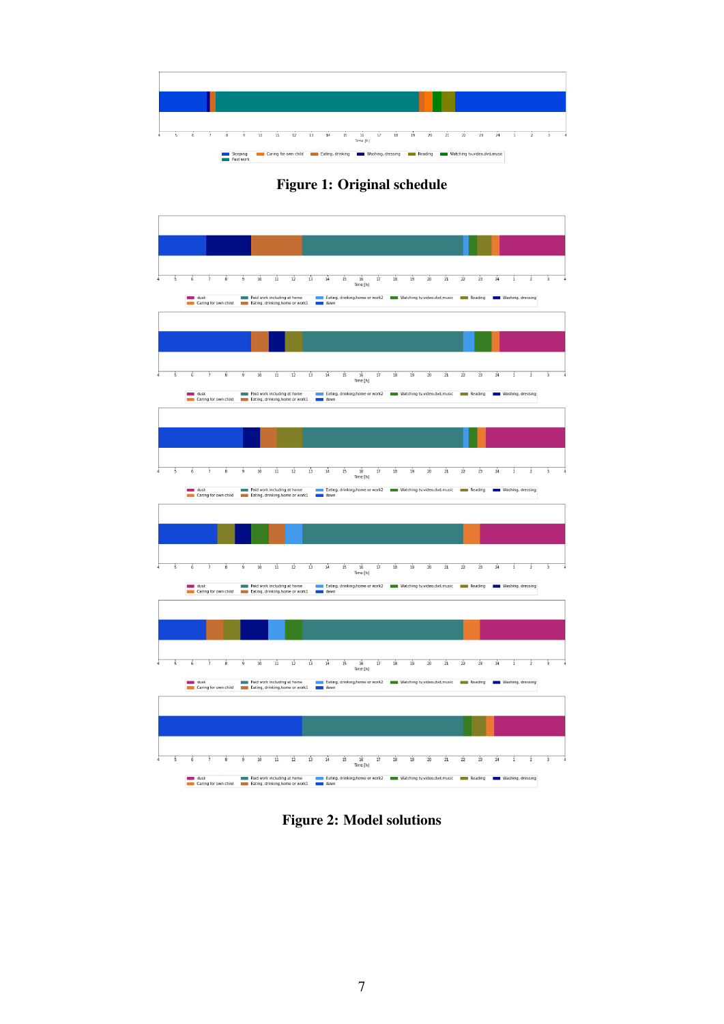<span id="page-6-0"></span>

Figure 1: Original schedule

<span id="page-6-1"></span>

Figure 2: Model solutions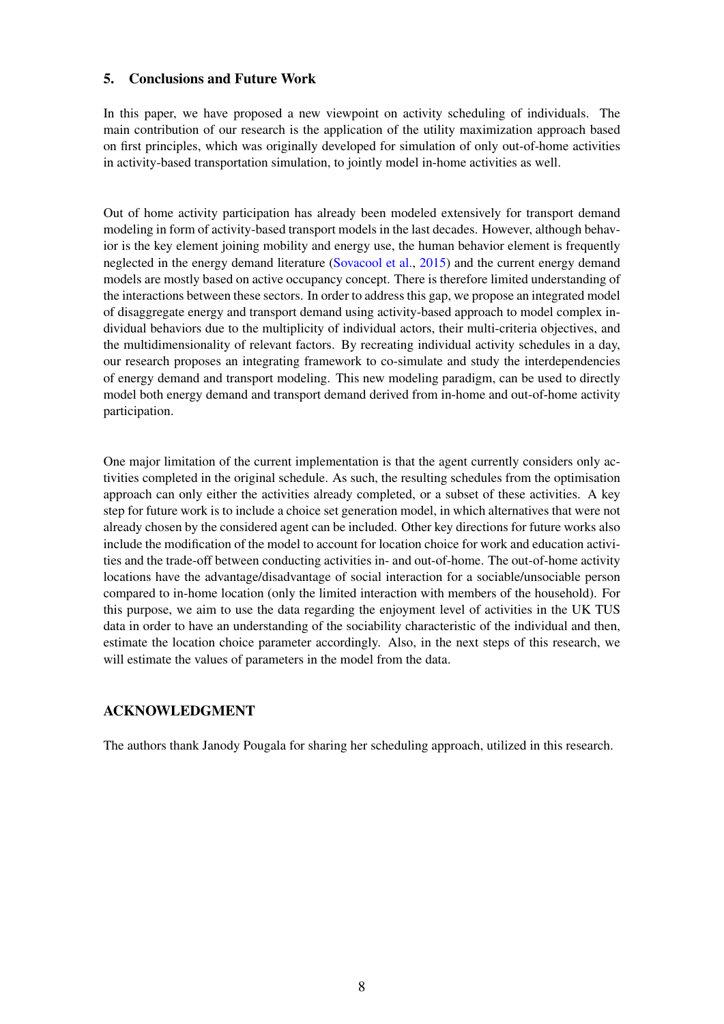## <span id="page-7-0"></span>5. Conclusions and Future Work

In this paper, we have proposed a new viewpoint on activity scheduling of individuals. The main contribution of our research is the application of the utility maximization approach based on first principles, which was originally developed for simulation of only out-of-home activities in activity-based transportation simulation, to jointly model in-home activities as well.

Out of home activity participation has already been modeled extensively for transport demand modeling in form of activity-based transport models in the last decades. However, although behavior is the key element joining mobility and energy use, the human behavior element is frequently neglected in the energy demand literature [\(Sovacool et al.,](#page-8-11) [2015\)](#page-8-11) and the current energy demand models are mostly based on active occupancy concept. There is therefore limited understanding of the interactions between these sectors. In order to address this gap, we propose an integrated model of disaggregate energy and transport demand using activity-based approach to model complex individual behaviors due to the multiplicity of individual actors, their multi-criteria objectives, and the multidimensionality of relevant factors. By recreating individual activity schedules in a day, our research proposes an integrating framework to co-simulate and study the interdependencies of energy demand and transport modeling. This new modeling paradigm, can be used to directly model both energy demand and transport demand derived from in-home and out-of-home activity participation.

One major limitation of the current implementation is that the agent currently considers only activities completed in the original schedule. As such, the resulting schedules from the optimisation approach can only either the activities already completed, or a subset of these activities. A key step for future work is to include a choice set generation model, in which alternatives that were not already chosen by the considered agent can be included. Other key directions for future works also include the modification of the model to account for location choice for work and education activities and the trade-off between conducting activities in- and out-of-home. The out-of-home activity locations have the advantage/disadvantage of social interaction for a sociable/unsociable person compared to in-home location (only the limited interaction with members of the household). For this purpose, we aim to use the data regarding the enjoyment level of activities in the UK TUS data in order to have an understanding of the sociability characteristic of the individual and then, estimate the location choice parameter accordingly. Also, in the next steps of this research, we will estimate the values of parameters in the model from the data.

## ACKNOWLEDGMENT

The authors thank Janody Pougala for sharing her scheduling approach, utilized in this research.